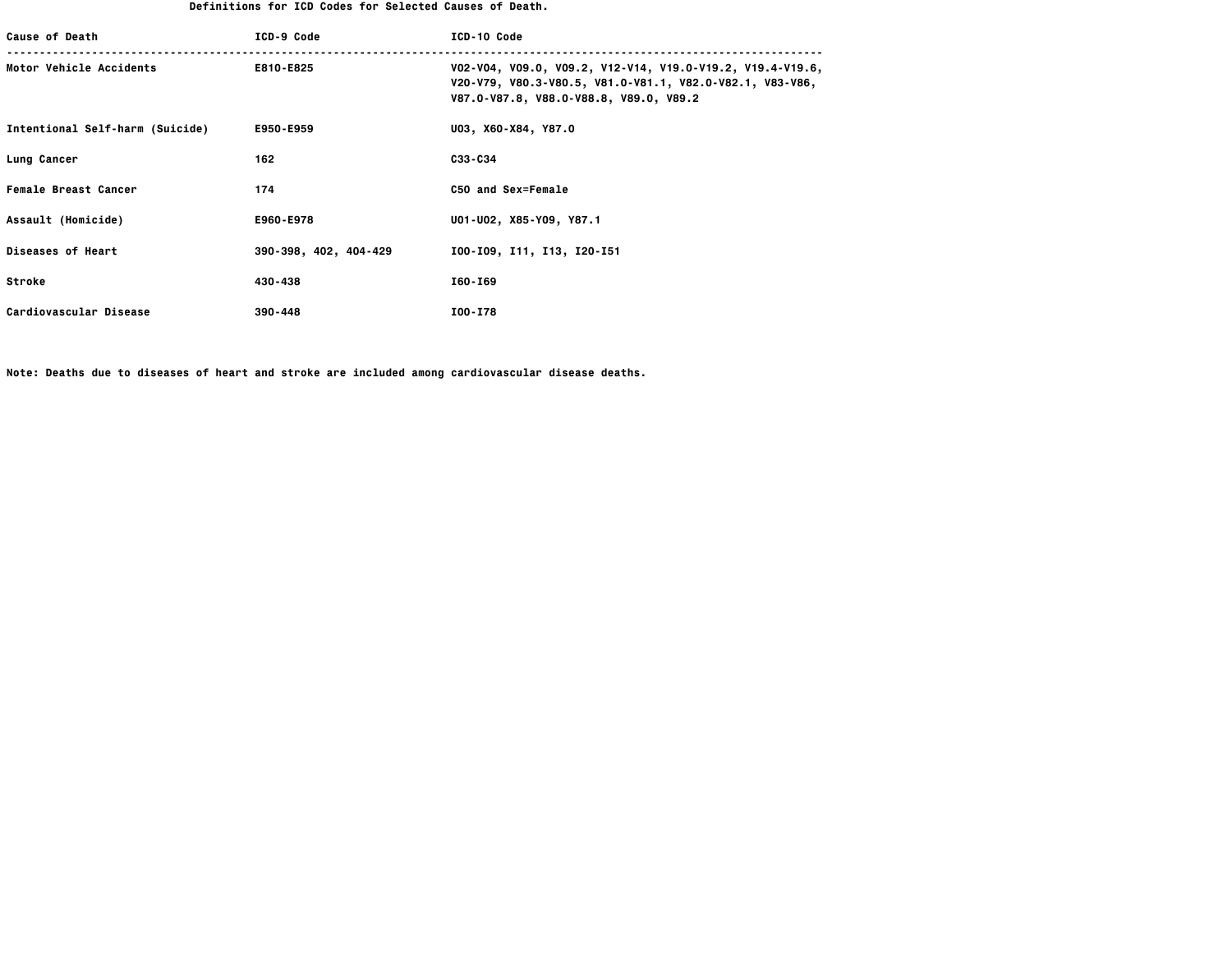## **Definitions for ICD Codes for Selected Causes of Death.**

| <b>Cause of Death</b>           | ICD-9 Code            | ICD-10 Code                                                                                                                                                     |
|---------------------------------|-----------------------|-----------------------------------------------------------------------------------------------------------------------------------------------------------------|
| Motor Vehicle Accidents         | E810-E825             | V02-V04, V09.0, V09.2, V12-V14, V19.0-V19.2, V19.4-V19.6,<br>V20-V79, V80.3-V80.5, V81.0-V81.1, V82.0-V82.1, V83-V86,<br>V87.0-V87.8, V88.0-V88.8, V89.0, V89.2 |
| Intentional Self-harm (Suicide) | E950-E959             | U03, X60-X84, Y87.0                                                                                                                                             |
| Lung Cancer                     | 162                   | C33-C34                                                                                                                                                         |
| Female Breast Cancer            | 174                   | C50 and Sex=Female                                                                                                                                              |
| Assault (Homicide)              | E960-E978             | U01-U02, X85-Y09, Y87.1                                                                                                                                         |
| <b>Diseases of Heart</b>        | 390-398, 402, 404-429 | I00-I09, I11, I13, I20-I51                                                                                                                                      |
| <b>Stroke</b>                   | 430-438               | I60-I69                                                                                                                                                         |
| Cardiovascular Disease          | 390-448               | I00-I78                                                                                                                                                         |

**Note: Deaths due to diseases of heart and stroke are included among cardiovascular disease deaths.**